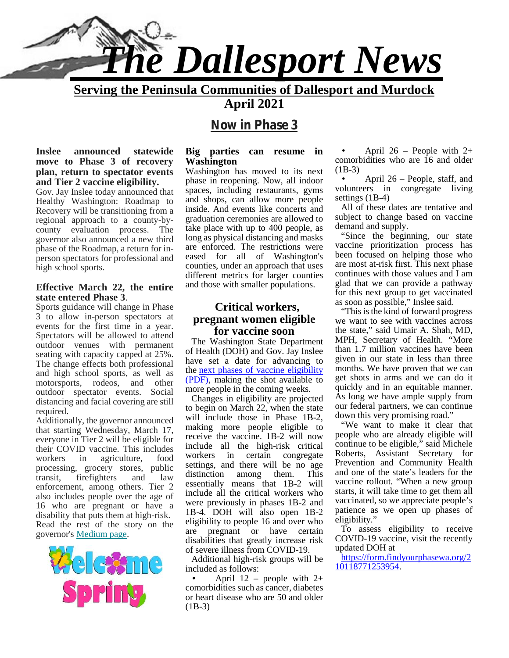

**Serving the Peninsula Communities of Dallesport and Murdock**

**April 2021**

# **Now in Phase 3**

**Inslee announced statewide move to Phase 3 of recovery plan, return to spectator events and Tier 2 vaccine eligibility.**

Gov. Jay Inslee today announced that Healthy Washington: Roadmap to Recovery will be transitioning from a regional approach to a county-by county evaluation process. The governor also announced a new third phase of the Roadmap, a return for in person spectators for professional and high school sports.

#### **Effective March 22, the entire state entered Phase 3**.

Sports guidance will change in Phase 3 to allow in-person spectators at events for the first time in a year. Spectators will be allowed to attend outdoor venues with permanent seating with capacity capped at 25%. The change effects both professional and high school sports, as well as motorsports, rodeos, and other outdoor spectator events. Social distancing and facial covering are still required.

Additionally, the governor announced that starting Wednesday, March 17, everyone in Tier 2 will be eligible for their COVID vaccine. This includes workers in agriculture, food processing, grocery stores, public settings, and<br>transit fration distinction transit, firefighters and law enforcement, among others. Tier 2 also includes people over the age of 16 who are pregnant or have a disability that puts them at high-risk. Read the rest of the story on the ellgi governor's Medium page.



#### **Big parties can resume in Washington**

Washington has moved to its next  $(B \nabla$  nhase in reopening Now all indoor phase in reopening. Now, all indoor spaces, including restaurants, gyms and shops, can allow more people inside. And events like concerts and graduation ceremonies are allowed to take place with up to 400 people, as long as physical distancing and masks are enforced. The restrictions were eased for all of Washington's counties, under an approach that uses different metrics for larger counties and those with smaller populations.

#### **Critical workers, pregnant women eligible for vaccine soon**

The Washington State Department of Health (DOH) and Gov. Jay Inslee have set a date for advancing to the next phases of vaccine eligibility (PDF), making the shot available to more people in the coming weeks.

Changes in eligibility are projected to begin on March 22, when the state will include those in Phase 1B-2, making more people eligible to receive the vaccine. 1B-2 will now include all the high-risk critical workers in certain congregate settings, and there will be no age among them. This essentially means that 1B-2 will include all the critical workers who were previously in phases 1B-2 and 1B-4. DOH will also open 1B-2 eligibility to people 16 and over who pregnant or have certain disabilities that greatly increase risk of severe illness from COVID-19.

Additional high-risk groups will be included as follows:

April  $12$  – people with  $2+$ comorbidities such as cancer, diabetes or heart disease who are 50 and older  $(1B-3)$ 

 April 26 – People with 2+ comorbidities who are 16 and older (1B-3)

 April 26 – People, staff, and volunteers in congregate living settings (1B-4)

All of these dates are tentative and subject to change based on vaccine demand and supply.

"Since the beginning, our state vaccine prioritization process has been focused on helping those who are most at-risk first. This next phase continues with those values and I am glad that we can provide a pathway for this next group to get vaccinated as soon as possible," Inslee said.

"This is the kind of forward progress we want to see with vaccines across the state," said Umair A. Shah, MD, MPH, Secretary of Health. "More than 1.7 million vaccines have been given in our state in less than three months. We have proven that we can get shots in arms and we can do it quickly and in an equitable manner. As long we have ample supply from our federal partners, we can continue down this very promising road."

"We want to make it clear that people who are already eligible will continue to be eligible," said Michele Roberts, Assistant Secretary for Prevention and Community Health and one of the state's leaders for the vaccine rollout. "When a new group starts, it will take time to get them all vaccinated, so we appreciate people's patience as we open up phases of eligibility."

To assess eligibility to receive COVID-19 vaccine, visit the recently updated DOH at

https://form.findyourphasewa.org/2 10118771253954.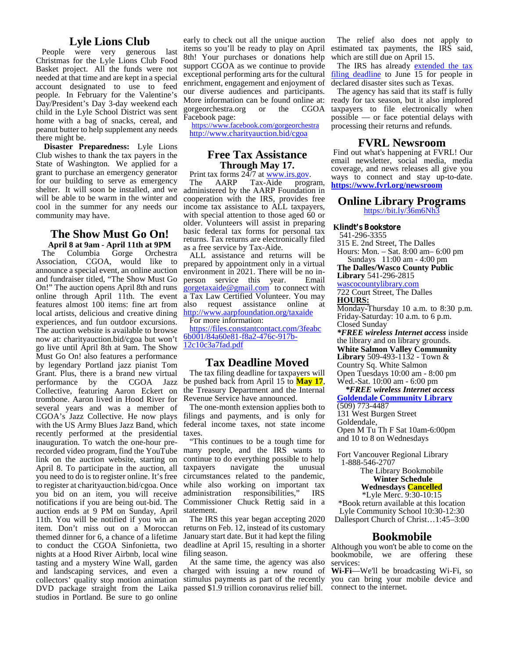#### **Lyle Lions Club**

People were very generous last Christmas for the Lyle Lions Club Food Basket project. All the funds were not needed at that time and are kept in a special account designated to use to feed people. In February for the Valentine's Day/President's Day 3-day weekend each child in the Lyle School District was sent home with a bag of snacks, cereal, and peanut butter to help supplement any needs there might be.

**Disaster Preparedness:** Lyle Lions Club wishes to thank the tax payers in the State of Washington. We applied for a grant to purchase an emergency generator for our building to serve as emergency The shelter. It will soon be installed, and we will be able to be warm in the winter and cool in the summer for any needs our community may have.

# **The Show Must Go On!**

**April 8 at 9am - April 11th at 9PM** The Columbia Gorge Orchestra Association, CGOA, would like to announce a special event, an online auction and fundraiser titled, "The Show Must Go person service this year. On!" The auction opens April 8th and runs online through April 11th. The event features almost 100 items: fine art from local artists, delicious and creative dining experiences, and fun outdoor excursions. The auction website is available to browse now at: charityauction.bid/cgoa but won't <u>bb001/84a60e81-t</u><br>go live until April 8th at 9am. The Show 12c10c3a7fad.pdf go live until April 8th at 9am. The Show Must Go On! also features a performance by legendary Portland jazz pianist Tom Grant. Plus, there is a brand new virtual performance by the CGOA Jazz Collective, featuring Aaron Eckert on trombone. Aaron lived in Hood River for several years and was a member of CGOA's Jazz Collective. He now plays with the US Army Blues Jazz Band, which recently performed at the presidential inauguration. To watch the one-hour prelink on the auction website, starting on April 8. To participate in the auction, all you need to do is to register online. It's free to register at charityauction.bid/cgoa. Once while also w<br>vou bid on an item, you will receive administration you bid on an item, you will receive notifications if you are being out-bid. The auction ends at 9 PM on Sunday, April 11th. You will be notified if you win an item. Don't miss out on a Moroccan themed dinner for 6, a chance of a lifetime to conduct the CGOA Sinfonietta, two nights at a Hood River Airbnb, local wine tasting and a mystery Wine Wall, garden DVD package straight from the Laika passed \$1.9 trillion coronavirus relief bill. co studios in Portland. Be sure to go online

early to check out all the unique auction items so you'll be ready to play on April 8th! Your purchases or donations help support CGOA as we continue to provide exceptional performing arts for the cultural enrichment, engagement and enjoyment of our diverse audiences and participants. More information can be found online at:<br>gorgeorchestra.org or the CGOA gorgeorchestra.org or Facebook page:

https://www.facebook.com/gorgeorchestra http://www.charityauction.bid/cgoa

# **Free Tax Assistance**

**Print tax forms 24/7 at www.irs.gov.**<br>The AARP Tax-Aide program, administered by the AARP Foundation in cooperation with the IRS, provides free income tax assistance to ALL taxpayers, with special attention to those aged 60 or older. Volunteers will assist in preparing basic federal tax forms for personal tax returns. Tax returns are electronically filed as a free service by Tax-Aide.

ALL assistance and returns will be prepared by appointment only in a virtual environment in 2021. There will be no in-<br>person service this year. Email  $gorgetaxaide@gmail.com$  to connect with a Tax Law Certified Volunteer. You may also request assistance online at http://www.aarpfoundation.org/taxaide

For more information:

https://files.constantcontact.com/3feabc 6b001/84a60e81-f8a2-476c-917b-

#### **Tax Deadline Moved**

The tax filing deadline for taxpayers will be pushed back from April 15 to **May 17**, the Treasury Department and the Internal Revenue Service have announced.

The one-month extension applies both to filings and payments, and is only for federal income taxes, not state income taxes.

recorded video program, find the YouTube many people, and the IRS wants to  $F_{\text{Cov}^*}$ "This continues to be a tough time for continue to do everything possible to help taxpayers navigate the unusual circumstances related to the pandemic, while also working on important tax responsibilities," IRS Commissioner Chuck Rettig said in a statement.

> The IRS this year began accepting 2020 returns on Feb. 12, instead of its customary January start date. But it had kept the filing deadline at April 15, resulting in a shorter filing season.

and landscaping services, and even a charged with issuing a new round of Wicollectors' quality stop motion animation stimulus payments as part of the recently you ca At the same time, the agency was also

The relief also does not apply to estimated tax payments, the IRS said, which are still due on April 15.

The IRS has already extended the tax filing deadline to June 15 for people in declared disaster sites such as Texas.

The agency has said that its staff is fully ready for tax season, but it also implored taxpayers to file electronically when possible — or face potential delays with processing their returns and refunds.

#### **FVRL Newsroom**

Find out what's happening at FVRL! Our email newsletter, social media, media coverage, and news releases all give you ways to connect and stay up-to-date. **https://www.fvrl.org/newsroom**

#### **Online Library Programs**

https://bit.ly/36m6Nh3

#### **Klindt's Bookstore**

541-296-3355 315 E. 2nd Street, The Dalles Hours: Mon. – Sat. 8:00 am– 6:00 pm Sundays 11:00 am - 4:00 pm

**The Dalles/Wasco County Public Library** 541-296-2815

wascocountylibrary.com 722 Court Street, The Dalles

**HOURS:**

Monday-Thursday 10 a.m. to 8:30 p.m. Friday-Saturday: 10 a.m. to 6 p.m. Closed Sunday

*\*FREE wireless Internet access* inside the library and on library grounds. **White Salmon Valley Community Library** 509-493-1132 - Town & Country Sq. White Salmon Open Tuesdays 10:00 am - 8:00 pm Wed.-Sat. 10:00 am - 6:00 pm

*\*FREE wireless Internet access* **Goldendale Community Library** (509) 773-4487

131 West Burgen Street Goldendale, Open M Tu Th F Sat 10am-6:00pm and 10 to 8 on Wednesdays

Fort Vancouver Regional Library 1-888-546-2707

> The Library Bookmobile **Winter Schedule**

**Wednesdays Cancelled**

\*Lyle Merc. 9:30-10:15 \*Book return available at this location Lyle Community School 10:30-12:30 Dallesport Church of Christ…1:45–3:00

#### **Bookmobile**

Although you won't be able to come on the bookmobile, we are offering these services:

**Wi-Fi**—We'll be broadcasting Wi-Fi, so you can bring your mobile device and connect to the internet.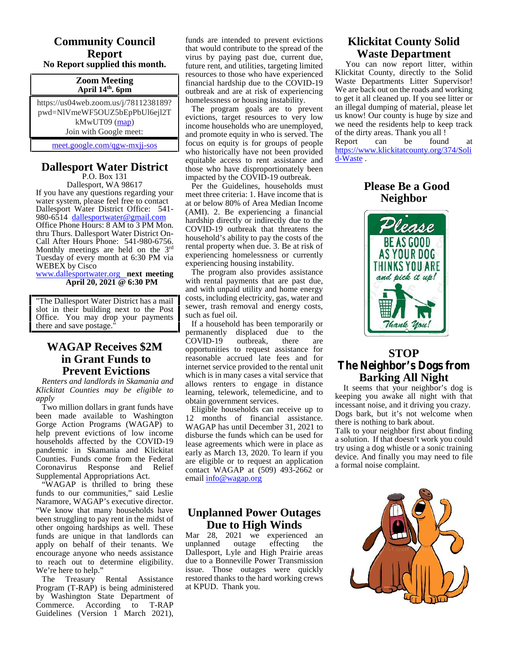#### **Community Council Report No Report supplied this month.**

#### **Zoom Meeting April 14th. 6pm**

https://us04web.zoom.us/j/7811238189? pwd=NlVmeWF5OUZ5bEpPbUl6ejl2T kMwUT09 (map) Join with Google meet:

meet.google.com/qgw-mxjj-sos

# **Dallesport Water District**

P.O. Box 131 Dallesport, WA 98617 If you have any questions regarding your water system, please feel free to contact Dallesport Water District Office: 541-<br>980-6514 dallesportwater@gmail.com Office Phone Hours: 8 AM to 3 PM Mon.<br>thru Thurs. Dallesport Water District On-Call After Hours Phone: 541-980-6756.

Monthly meetings are held on the 3rd Tuesday of every month at 6:30 PM via WEBEX by Cisco www.dallesportwater.org **next meeting**

**April 20, 2021 @ 6:30 PM**

"The Dallesport Water District has a mail slot in their building next to the Post Office. You may drop your payments there and save postage."

# **in Grant Funds to Prevent Evictions**

*Renters and landlords in Skamania and Klickitat Counties may be eligible to apply*

Two million dollars in grant funds have been made available to Washington Gorge Action Programs (WAGAP) to help prevent evictions of low income households affected by the COVID-19 pandemic in Skamania and Klickitat Counties. Funds come from the Federal Coronavirus Response and Relief Supplemental Appropriations Act.

"WAGAP is thrilled to bring these funds to our communities," said Leslie Naramore, WAGAP's executive director. "We know that many households have been struggling to pay rent in the midst of other ongoing hardships as well. These funds are unique in that landlords can apply on behalf of their tenants. We encourage anyone who needs assistance to reach out to determine eligibility. We're here to help."

The Treasury Rental Assistance Program (T-RAP) is being administered by Washington State Department of Commerce. According to T-RAP Guidelines (Version 1 March 2021), funds are intended to prevent evictions that would contribute to the spread of the virus by paying past due, current due, future rent, and utilities, targeting limited resources to those who have experienced financial hardship due to the COVID-19 outbreak and are at risk of experiencing homelessness or housing instability.

The program goals are to prevent evictions, target resources to very low income households who are unemployed, and promote equity in who is served. The focus on equity is for groups of people who historically have not been provided equitable access to rent assistance and those who have disproportionately been impacted by the COVID-19 outbreak.

Per the Guidelines, households must meet three criteria: 1. Have income that is at or below 80% of Area Median Income (AMI). 2. Be experiencing a financial hardship directly or indirectly due to the COVID-19 outbreak that threatens the household's ability to pay the costs of the rental property when due. 3. Be at risk of experiencing homelessness or currently experiencing housing instability.

The program also provides assistance with rental payments that are past due, and with unpaid utility and home energy costs, including electricity, gas, water and sewer, trash removal and energy costs, such as fuel oil.

**WAGAP Receives \$2M** COVID-19 outbreak, If a household has been temporarily or permanently displaced due to the COVID-19 outbreak, there are opportunities to request assistance for reasonable accrued late fees and for internet service provided to the rental unit which is in many cases a vital service that allows renters to engage in distance learning, telework, telemedicine, and to obtain government services.

Eligible households can receive up to 12 months of financial assistance. WAGAP has until December 31, 2021 to disburse the funds which can be used for lease agreements which were in place as early as March 13, 2020. To learn if you are eligible or to request an application contact WAGAP at (509) 493-2662 or email info@wagap.org

# **Unplanned Power Outages Due to High Winds**

Mar 28, 2021 we experienced an unplanned outage effecting the unplanned outage effecting the Dallesport, Lyle and High Prairie areas due to a Bonneville Power Transmission issue. Those outages were quickly restored thanks to the hard working crews at KPUD. Thank you.

# **Klickitat County Solid Waste Department**

You can now report litter, within Klickitat County, directly to the Solid Waste Departments Litter Supervisor! We are back out on the roads and working to get it all cleaned up. If you see litter or an illegal dumping of material, please let us know! Our county is huge by size and we need the residents help to keep track of the dirty areas. Thank you all !<br>Report can be found Report can be found at

https://www.klickitatcounty.org/374/Soli d-Waste .

# **Please Be a Good Neighbor**



# **STOP The Neighbor's Dogs from Barking All Night**

It seems that your neighbor's dog is keeping you awake all night with that incessant noise, and it driving you crazy. Dogs bark, but it's not welcome when there is nothing to bark about.

Talk to your neighbor first about finding a solution. If that doesn't work you could try using a dog whistle or a sonic training device. And finally you may need to file a formal noise complaint.

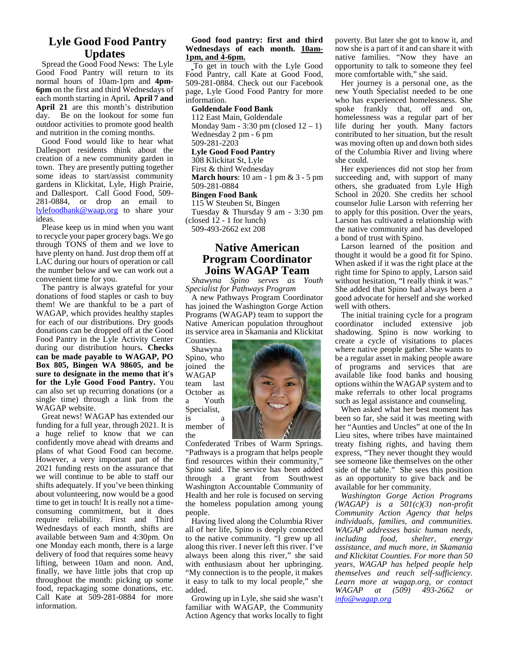#### **Lyle Good Food Pantry Updates**

Spread the Good Food News: The Lyle Good Food Pantry will return to its normal hours of 10am-1pm and **4pm- 6pm** on the first and third Wednesdays of each month starting in April**. April 7 and April 21** are this month's distribution day. Be on the lookout for some fun outdoor activities to promote good health and nutrition in the coming months.

Good Food would like to hear what Dallesport residents think about the creation of a new community garden in town. They are presently putting together some ideas to start/assist community gardens in Klickitat, Lyle, High Prairie, and Dallesport. Call Good Food, 509- 281-0884, or drop an email to lylefoodbank@waap.org to share your ideas.

Please keep us in mind when you want to recycle your paper grocery bags. We go through TONS of them and we love to have plenty on hand. Just drop them off at LAC during our hours of operation or call the number below and we can work out a convenient time for you.

The pantry is always grateful for your donations of food staples or cash to buy them! We are thankful to be a part of WAGAP, which provides healthy staples for each of our distributions. Dry goods donations can be dropped off at the Good Food Pantry in the Lyle Activity Center during our distribution hours**. Checks can be made payable to WAGAP, PO Box 805, Bingen WA 98605, and be sure to designate in the memo that it's for the Lyle Good Food Pantry.** You can also set up recurring donations (or a single time) through a link from the a WAGAP website.

Great news! WAGAP has extended our is funding for a full year, through 2021. It is a huge relief to know that we can confidently move ahead with dreams and plans of what Good Food can become. However, a very important part of the 2021 funding rests on the assurance that we will continue to be able to staff our shifts adequately. If you've been thinking about volunteering, now would be a good time to get in touch! It is really not a time consuming commitment, but it does require reliability. First and Third Wednesdays of each month, shifts are available between 9am and 4:30pm. On one Monday each month, there is a large delivery of food that requires some heavy lifting, between 10am and noon. And, finally, we have little jobs that crop up throughout the month: picking up some food, repackaging some donations, etc. Call Kate at 509-281-0884 for more information.

#### **Good food pantry: first and third Wednesdays of each month. 10am- 1pm, and 4-6pm.**

To get in touch with the Lyle Good Food Pantry, call Kate at Good Food, 509-281-0884. Check out our Facebook page, Lyle Good Food Pantry for more information.

#### **Goldendale Food Bank**

112 East Main, Goldendale Monday 9am - 3:30 pm (closed  $12 - 1$ ) Wednesday 2 pm - 6 pm 509-281-2203

#### **Lyle Good Food Pantry**

308 Klickitat St, Lyle First & third Wednesday **March hours**: 10 am - 1 pm & 3 - 5 pm 509-281-0884

#### **Bingen Food Bank**

115 W Steuben St, Bingen Tuesday & Thursday 9 am - 3:30 pm (closed 12 - 1 for lunch) 509-493-2662 ext 208

#### **Native American Program Coordinator Joins WAGAP Team**

*Shawyna Spino serves as Youth Specialist for Pathways Program*

A new Pathways Program Coordinator has joined the Washington Gorge Action Programs (WAGAP) team to support the Native American population throughout its service area in Skamania and Klickitat

Counties. Shawyna Spino, who joined the WAGAP last October as Youth Specialist, is a

member of the



Confederated Tribes of Warm Springs. "Pathways is a program that helps people find resources within their community," Spino said. The service has been added through a grant from Southwest Washington Accountable Community of Health and her role is focused on serving the homeless population among young people.

Having lived along the Columbia River all of her life, Spino is deeply connected to the native community. "I grew up all along this river. I never left this river. I've always been along this river," she said with enthusiasm about her upbringing. "My connection is to the people, it makes it easy to talk to my local people," she added.

Growing up in Lyle, she said she wasn't familiar with WAGAP, the Community Action Agency that works locally to fight poverty. But later she got to know it, and now she is a part of it and can share it with native families. "Now they have an opportunity to talk to someone they feel more comfortable with," she said.

Her journey is a personal one, as the new Youth Specialist needed to be one who has experienced homelessness. She spoke frankly that, off and on, homelessness was a regular part of her life during her youth. Many factors contributed to her situation, but the result was moving often up and down both sides of the Columbia River and living where she could.

Her experiences did not stop her from succeeding and, with support of many others, she graduated from Lyle High School in 2020. She credits her school counselor Julie Larson with referring her to apply for this position. Over the years, Larson has cultivated a relationship with the native community and has developed a bond of trust with Spino.

Larson learned of the position and thought it would be a good fit for Spino. When asked if it was the right place at the right time for Spino to apply, Larson said without hesitation, "I really think it was." She added that Spino had always been a good advocate for herself and she worked well with others.

The initial training cycle for a program coordinator included extensive job shadowing. Spino is now working to create a cycle of visitations to places where native people gather. She wants to be a regular asset in making people aware of programs and services that are available like food banks and housing options within the WAGAP system and to make referrals to other local programs such as legal assistance and counseling.

When asked what her best moment has been so far, she said it was meeting with her "Aunties and Uncles" at one of the In Lieu sites, where tribes have maintained treaty fishing rights, and having them express, "They never thought they would see someone like themselves on the other side of the table." She sees this position as an opportunity to give back and be available for her community.

*Washington Gorge Action Programs (WAGAP) is a 501(c)(3) non-profit Community Action Agency that helps individuals, families, and communities. WAGAP addresses basic human needs, including food, shelter, energy assistance, and much more, in Skamania and Klickitat Counties. For more than 50 years, WAGAP has helped people help themselves and reach self-sufficiency. Learn more at wagap.org, or contact WAGAP at (509) 493-2662 or info@wagap.org*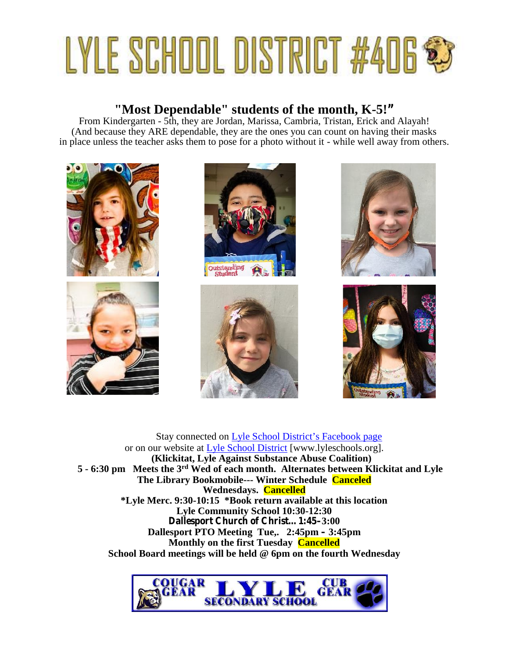# LYLE SCHOOL DISTRICT #406 \$

# **"Most Dependable" students of the month, K-5!"**

From Kindergarten - 5th, they are Jordan, Marissa, Cambria, Tristan, Erick and Alayah! (And because they ARE dependable, they are the ones you can count on having their masks in place unless the teacher asks them to pose for a photo without it - while well away from others.



Stay connected on Lyle School District's Facebook page or on our website at Lyle School District [www.lyleschools.org]. **(Klickitat, Lyle Against Substance Abuse Coalition) 5 - 6:30 pm Meets the 3rd Wed of each month. Alternates between Klickitat and Lyle The Library Bookmobile--- Winter Schedule Canceled Wednesdays. Cancelled \*Lyle Merc. 9:30-10:15 \*Book return available at this location Lyle Community School 10:30-12:30 Dallesport Church of Christ…1:45–3:00 Dallesport PTO Meeting Tue,. 2:45pm – 3:45pm Monthly on the first Tuesday Cancelled School Board meetings will be held @ 6pm on the fourth Wednesday**

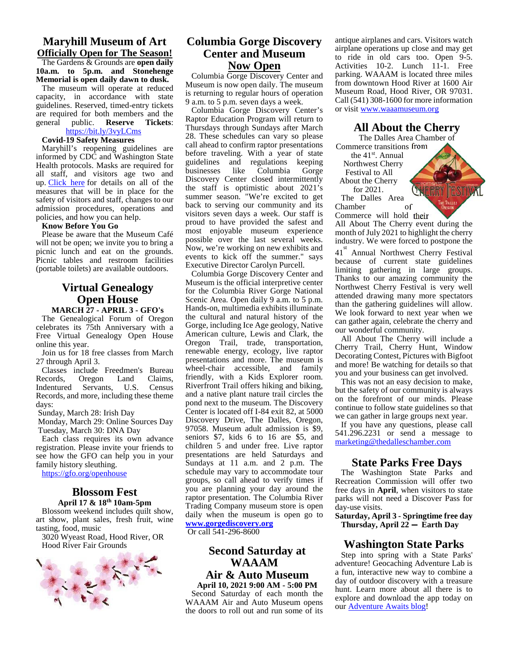#### **Maryhill Museum of Art**

**Officially Open for The Season!** The Gardens & Grounds are **open daily 10a.m. to 5p.m. and Stonehenge Memorial is open daily dawn to dusk.**

The museum will operate at reduced capacity, in accordance with state guidelines. Reserved, timed-entry tickets are required for both members and the general public. **Reserve Tickets:** public. **Reserve Tickets:** 

#### https://bit.ly/3vyLCms

**Covid-19 Safety Measures**

Maryhill's reopening guidelines are informed by CDC and Washington State Health protocols. Masks are required for guidelines all staff, and visitors age two and up. Click here for details on all of the measures that will be in place for the safety of visitors and staff, changes to our admission procedures, operations and policies, and how you can help.

#### **Know Before You Go**

Please be aware that the Museum Café will not be open; we invite you to bring a picnic lunch and eat on the grounds. Picnic tables and restroom facilities (portable toilets) are available outdoors.

# **Virtual Genealogy Open House**

**MARCH 27 - APRIL 3 - GFO's** The Genealogical Forum of Oregon celebrates its 75th Anniversary with a

Free Virtual Genealogy Open House online this year. Join us for 18 free classes from March

27 through April 3.

Classes include Freedmen's Bureau<br>Records, Oregon Land Claims, Oregon Land Claims,<br>Servants, U.S. Census Indentured Servants, Records, and more, including these theme days:

Sunday, March 28: Irish Day

Monday, March 29: Online Sources Day Tuesday, March 30: DNA Day

Each class requires its own advance registration. Please invite your friends to see how the GFO can help you in your family history sleuthing.

https://gfo.org/openhouse

#### **Blossom Fest April 17 & 18th 10am-5pm**

Blossom weekend includes quilt show, art show, plant sales, fresh fruit, wine tasting, food, music

3020 Wyeast Road, Hood River, OR Hood River Fair Grounds



#### **Columbia Gorge Discovery Center and Museum Now Open**

Columbia Gorge Discovery Center and Museum is now open daily. The museum is returning to regular hours of operation 9 a.m. to 5 p.m. seven days a week.

Columbia Gorge Discovery Center's Raptor Education Program will return to Thursdays through Sundays after March 28. These schedules can vary so please call ahead to confirm raptor presentations before traveling. With a year of state guidelines and regulations keeping No like Columbia Gorge Discovery Center closed intermittently the staff is optimistic about 2021's summer season. "We're excited to get back to serving our community and its visitors seven days a week. Our staff is proud to have provided the safest and most enjoyable museum experience possible over the last several weeks. Now, we're working on new exhibits and events to kick off the summer." says Executive Director Carolyn Purcell.

Columbia Gorge Discovery Center and Museum is the official interpretive center for the Columbia River Gorge National Scenic Area. Open daily 9 a.m. to 5 p.m. Hands-on, multimedia exhibits illuminate the cultural and natural history of the Gorge, including Ice Age geology, Native American culture, Lewis and Clark, the Oregon Trail, trade, transportation, renewable energy, ecology, live raptor presentations and more. The museum is wheel-chair accessible, and family friendly, with a Kids Explorer room. Riverfront Trail offers hiking and biking, and a native plant nature trail circles the pond next to the museum. The Discovery Center is located off I-84 exit 82, at 5000 Discovery Drive, The Dalles, Oregon, 97058. Museum adult admission is \$9, seniors \$7, kids 6 to 16 are \$5, and children 5 and under free. Live raptor presentations are held Saturdays and Sundays at 11 a.m. and 2 p.m. The schedule may vary to accommodate tour groups, so call ahead to verify times if you are planning your day around the raptor presentation. The Columbia River Trading Company museum store is open daily when the museum is open go to **www.gorgediscovery.org**

Or call 541-296-8600

# **Second Saturday at WAAAM Air & Auto Museum**

**April 10, 2021 9:00 AM - 5:00 PM** Second Saturday of each month the WAAAM Air and Auto Museum opens the doors to roll out and run some of its

antique airplanes and cars. Visitors watch airplane operations up close and may get to ride in old cars too. Open 9-5. Activities 10-2. Lunch 11-1. Free parking. WAAAM is located three miles from downtown Hood River at 1600 Air Museum Road, Hood River, OR 97031. Call (541) 308-1600 for more information or visit www.waaamuseum.org

#### **All About the Cherry**

The Dalles Area Chamber of Commerce transitions from the 41st. Annual Northwest Cherry Festival to All About the Cherry for 2021. The Dalles Area Chamber of Commerce will hold their

All About The Cherry event during the month of July 2021 to highlight the cherry industry. We were forced to postpone the

41 st Annual Northwest Cherry Festival because of current state guidelines limiting gathering in large groups. Thanks to our amazing community the Northwest Cherry Festival is very well attended drawing many more spectators than the gathering guidelines will allow. We look forward to next year when we can gather again, celebrate the cherry and our wonderful community.

All About The Cherry will include a Cherry Trail, Cherry Hunt, Window Decorating Contest, Pictures with Bigfoot and more! Be watching for details so that you and your business can get involved.

This was not an easy decision to make, but the safety of our community is always on the forefront of our minds. Please continue to follow state guidelines so that we can gather in large groups next year.

If you have any questions, please call 541.296.2231 or send a message to marketing@thedalleschamber.com

#### **State Parks Free Days**

The Washington State Parks and Recreation Commission will offer two free days in **April**, when visitors to state parks will not need a Discover Pass for day-use visits.

**Saturday, April 3 - Springtime free day Thursday, April 22 — Earth Day**

#### **Washington State Parks**

Step into spring with a State Parks' adventure! Geocaching Adventure Lab is a fun, interactive new way to combine a day of outdoor discovery with a treasure hunt. Learn more about all there is to explore and download the app today on our Adventure Awaits blog!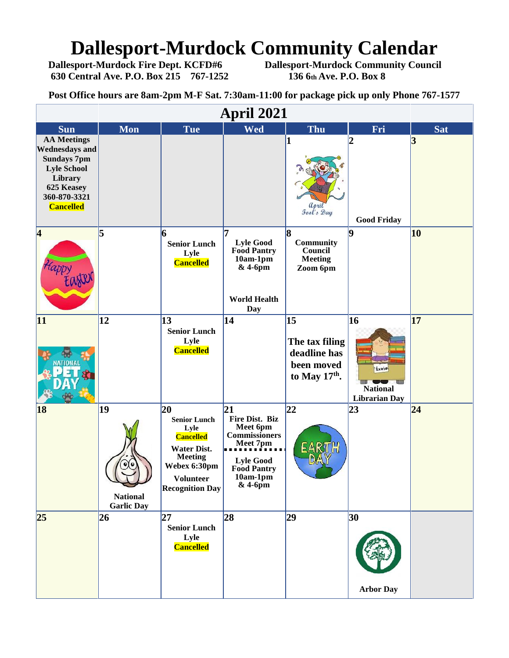# **Dallesport-Murdock Community Calendar**<br>Dallesport-Murdock Fire Dept. KCFD#6 Dallesport-Murdock Community Counci

**630 Central Ave. P.O. Box 215 767-1252 136 6th Ave. P.O. Box 8**

**Dallesport-Murdock Community Council** 

**Post Office hours are 8am-2pm M-F Sat. 7:30am-11:00 for package pick up only Phone 767-1577**